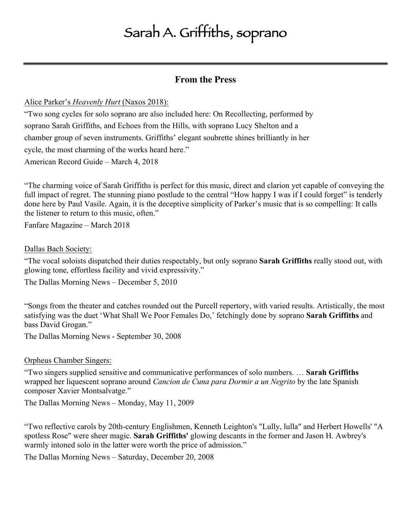# Sarah A. Griffiths, soprano

# **From the Press**

## Alice Parker's *Heavenly Hurt* (Naxos 2018):

"Two song cycles for solo soprano are also included here: On Recollecting, performed by soprano Sarah Griffiths, and Echoes from the Hills, with soprano Lucy Shelton and a chamber group of seven instruments. Griffiths' elegant soubrette shines brilliantly in her cycle, the most charming of the works heard here." American Record Guide – March 4, 2018

"The charming voice of Sarah Griffiths is perfect for this music, direct and clarion yet capable of conveying the full impact of regret. The stunning piano postlude to the central "How happy I was if I could forget" is tenderly done here by Paul Vasile. Again, it is the deceptive simplicity of Parker's music that is so compelling: It calls the listener to return to this music, often."

Fanfare Magazine – March 2018

#### Dallas Bach Society:

"The vocal soloists dispatched their duties respectably, but only soprano **Sarah Griffiths** really stood out, with glowing tone, effortless facility and vivid expressivity."

The Dallas Morning News – December 5, 2010

"Songs from the theater and catches rounded out the Purcell repertory, with varied results. Artistically, the most satisfying was the duet 'What Shall We Poor Females Do,' fetchingly done by soprano **Sarah Griffiths** and bass David Grogan."

The Dallas Morning News - September 30, 2008

Orpheus Chamber Singers:

"Two singers supplied sensitive and communicative performances of solo numbers. … **Sarah Griffiths** wrapped her liquescent soprano around *Cancion de Cuna para Dormir a un Negrito* by the late Spanish composer Xavier Montsalvatge."

The Dallas Morning News – Monday, May 11, 2009

"Two reflective carols by 20th-century Englishmen, Kenneth Leighton's "Lully, lulla" and Herbert Howells' "A spotless Rose" were sheer magic. **Sarah Griffiths'** glowing descants in the former and Jason H. Awbrey's warmly intoned solo in the latter were worth the price of admission."

The Dallas Morning News – Saturday, December 20, 2008